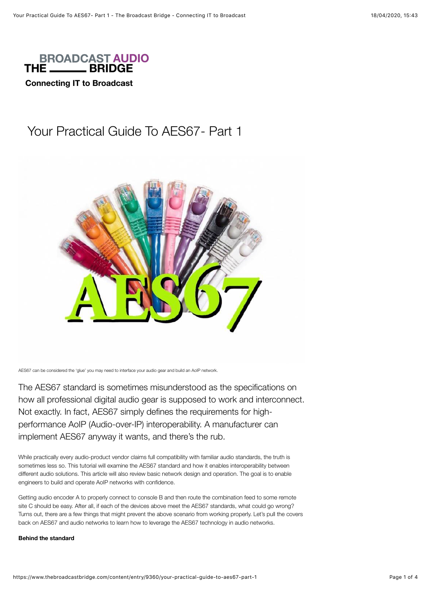

**Connecting IT to Broadcast** 

# Your Practical Guide To AES67- Part 1



AES67 can be considered the 'glue' you may need to interface your audio gear and build an AoIP network.

The AES67 standard is sometimes misunderstood as the specifications on how all professional digital audio gear is supposed to work and interconnect. Not exactly. In fact, AES67 simply defines the requirements for highperformance AoIP (Audio-over-IP) interoperability. A manufacturer can implement AES67 anyway it wants, and there's the rub.

While practically every audio-product vendor claims full compatibility with familiar audio standards, the truth is sometimes less so. This tutorial will examine the AES67 standard and how it enables interoperability between different audio solutions. This article will also review basic network design and operation. The goal is to enable engineers to build and operate AoIP networks with confidence.

Getting audio encoder A to properly connect to console B and then route the combination feed to some remote site C should be easy. After all, if each of the devices above meet the AES67 standards, what could go wrong? Turns out, there are a few things that might prevent the above scenario from working properly. Let's pull the covers back on AES67 and audio networks to learn how to leverage the AES67 technology in audio networks.

# **Behind the standard**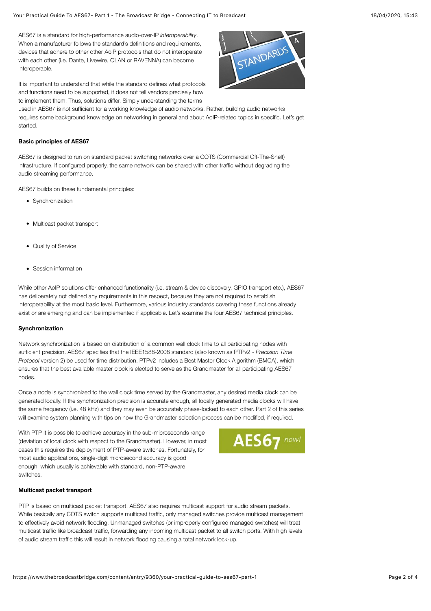AES67 is a standard for high-performance audio-over-IP *interoperability*. When a manufacturer follows the standard's definitions and requirements, devices that adhere to other other AoIP protocols that do not interoperate with each other (i.e. Dante, Livewire, QLAN or RAVENNA) can become interoperable.

It is important to understand that while the standard defines what protocols and functions need to be supported, it does not tell vendors precisely how to implement them. Thus, solutions differ. Simply understanding the terms

STANDARDS

used in AES67 is not sufficient for a working knowledge of audio networks. Rather, building audio networks requires some background knowledge on networking in general and about AoIP-related topics in specific. Let's get started.

## **Basic principles of AES67**

AES67 is designed to run on standard packet switching networks over a COTS (Commercial Off-The-Shelf) infrastructure. If configured properly, the same network can be shared with other traffic without degrading the audio streaming performance.

AES67 builds on these fundamental principles:

- Synchronization
- Multicast packet transport
- Quality of Service
- Session information

While other AoIP solutions offer enhanced functionality (i.e. stream & device discovery, GPIO transport etc.), AES67 has deliberately not defined any requirements in this respect, because they are not required to establish interoperability at the most basic level. Furthermore, various industry standards covering these functions already exist or are emerging and can be implemented if applicable. Let's examine the four AES67 technical principles.

# **Synchronization**

Network synchronization is based on distribution of a common wall clock time to all participating nodes with sufficient precision. AES67 specifies that the IEEE1588-2008 standard (also known as PTPv2 - *Precision Time Protocol* version 2) be used for time distribution. PTPv2 includes a Best Master Clock Algorithm (BMCA), which ensures that the best available master clock is elected to serve as the Grandmaster for all participating AES67 nodes.

Once a node is synchronized to the wall clock time served by the Grandmaster, any desired media clock can be generated locally. If the synchronization precision is accurate enough, all locally generated media clocks will have the same frequency (i.e. 48 kHz) and they may even be accurately phase-locked to each other. Part 2 of this series will examine system planning with tips on how the Grandmaster selection process can be modified, if required.

With PTP it is possible to achieve accuracy in the sub-microseconds range (deviation of local clock with respect to the Grandmaster). However, in most cases this requires the deployment of PTP-aware switches. Fortunately, for most audio applications, single-digit microsecond accuracy is good enough, which usually is achievable with standard, non-PTP-aware switches.



### **Multicast packet transport**

PTP is based on multicast packet transport. AES67 also requires multicast support for audio stream packets. While basically any COTS switch supports multicast traffic, only managed switches provide multicast management to effectively avoid network flooding. Unmanaged switches (or improperly configured managed switches) will treat multicast traffic like broadcast traffic, forwarding any incoming multicast packet to all switch ports. With high levels of audio stream traffic this will result in network flooding causing a total network lock-up.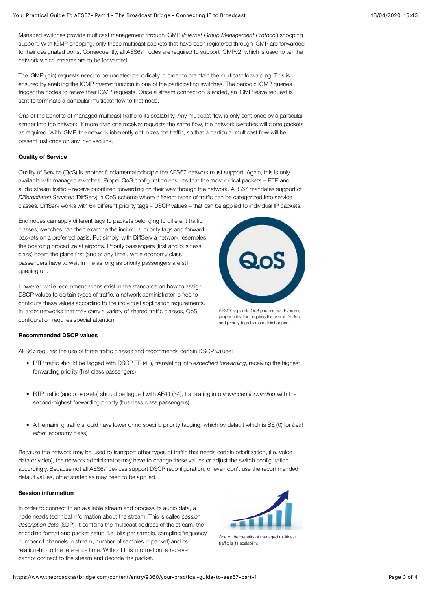Managed switches provide multicast management through IGMP (*Internet Group Management Protocol*) snooping support. With IGMP snooping, only those multicast packets that have been registered through IGMP are forwarded to their designated ports. Consequently, all AES67 nodes are required to support IGMPv2, which is used to tell the network which streams are to be forwarded.

The IGMP (join) requests need to be updated periodically in order to maintain the multicast forwarding. This is ensured by enabling the IGMP *querier* function in one of the participating switches. The periodic IGMP queries trigger the nodes to renew their IGMP requests. Once a stream connection is ended, an IGMP leave request is sent to terminate a particular multicast flow to that node.

One of the benefits of managed multicast traffic is its scalability. Any multicast flow is only sent once by a particular sender into the network. If more than one receiver requests the same flow, the network switches will clone packets as required. With IGMP, the network inherently optimizes the traffic, so that a particular multicast flow will be present just once on any involved link.

## **Quality of Service**

Quality of Service (QoS) is another fundamental principle the AES67 network must support. Again, this is only available with managed switches. Proper QoS configuration ensures that the most critical packets – PTP and audio stream traffic – receive prioritized forwarding on their way through the network. AES67 mandates support of *Differentiated Services* (DiffServ), a QoS scheme where different types of traffic can be categorized into service classes. DiffServ works with 64 different priority tags – DSCP values – that can be applied to individual IP packets.

End nodes can apply different tags to packets belonging to different traffic classes; switches can then examine the individual priority tags and forward packets on a preferred basis. Put simply, with DiffServ a network resembles the boarding procedure at airports. Priority passengers (first and business class) board the plane first (and at any time), while economy class passengers have to wait in line as long as priority passengers are still queuing up.

However, while recommendations exist in the standards on how to assign DSCP values to certain types of traffic, a network administrator is free to configure these values according to the individual application requirements. In larger networks that may carry a variety of shared traffic classes, QoS configuration requires special attention.



AES67 supports QoS parameters. Even so, proper utilization requires the use of DiffServ and priority tags to make this happen.

#### **Recommended DSCP values**

AES67 requires the use of three traffic classes and recommends certain DSCP values:

- PTP traffic should be tagged with DSCP EF (48), translating into *expedited forwarding*, receiving the highest forwarding priority (first class passengers)
- RTP traffic (audio packets) should be tagged with AF41 (34), translating into *advanced forwarding* with the second-highest forwarding priority (business class passengers)
- All remaining traffic should have lower or no specific priority tagging, which by default which is BE (0) for *best effort* (economy class)

Because the network may be used to transport other types of traffic that needs certain prioritization, (i.e. voice data or video), the network administrator may have to change these values or adjust the switch configuration accordingly. Because not all AES67 devices support DSCP reconfiguration, or even don't use the recommended default values, other strategies may need to be applied.

#### **Session information**

In order to connect to an available stream and process its audio data, a node needs technical information about the stream. This is called *session description data* (SDP). It contains the multicast address of the stream, the encoding format and packet setup (i.e. bits per sample, sampling frequency, number of channels in stream, number of samples in packet) and its relationship to the reference time. Without this information, a receiver cannot connect to the stream and decode the packet.



One of the benefits of managed multicast traffic is its scalability.